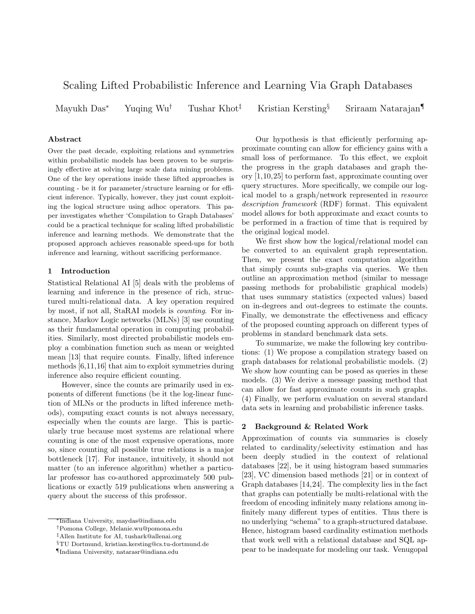# Scaling Lifted Probabilistic Inference and Learning Via Graph Databases

Mayukh Das<sup>∗</sup> Yuqing Wu† Tushar Khot‡ Kristian Kersting§ Sriraam Natarajan¶

## Abstract

Over the past decade, exploiting relations and symmetries within probabilistic models has been proven to be surprisingly effective at solving large scale data mining problems. One of the key operations inside these lifted approaches is counting - be it for parameter/structure learning or for efficient inference. Typically, however, they just count exploiting the logical structure using adhoc operators. This paper investigates whether 'Compilation to Graph Databases' could be a practical technique for scaling lifted probabilistic inference and learning methods. We demonstrate that the proposed approach achieves reasonable speed-ups for both inference and learning, without sacrificing performance.

## 1 Introduction

Statistical Relational AI [5] deals with the problems of learning and inference in the presence of rich, structured multi-relational data. A key operation required by most, if not all, StaRAI models is counting. For instance, Markov Logic networks (MLNs) [3] use counting as their fundamental operation in computing probabilities. Similarly, most directed probabilistic models employ a combination function such as mean or weighted mean [13] that require counts. Finally, lifted inference methods [6,11,16] that aim to exploit symmetries during inference also require efficient counting.

However, since the counts are primarily used in exponents of different functions (be it the log-linear function of MLNs or the products in lifted inference methods), computing exact counts is not always necessary, especially when the counts are large. This is particularly true because most systems are relational where counting is one of the most expensive operations, more so, since counting all possible true relations is a major bottleneck [17]. For instance, intuitively, it should not matter (to an inference algorithm) whether a particular professor has co-authored approximately 500 publications or exactly 519 publications when answering a query about the success of this professor.

Our hypothesis is that efficiently performing approximate counting can allow for efficiency gains with a small loss of performance. To this effect, we exploit the progress in the graph databases and graph theory [1,10,25] to perform fast, approximate counting over query structures. More specifically, we compile our logical model to a graph/network represented in resource description framework (RDF) format. This equivalent model allows for both approximate and exact counts to be performed in a fraction of time that is required by the original logical model.

We first show how the logical/relational model can be converted to an equivalent graph representation. Then, we present the exact computation algorithm that simply counts sub-graphs via queries. We then outline an approximation method (similar to message passing methods for probabilistic graphical models) that uses summary statistics (expected values) based on in-degrees and out-degrees to estimate the counts. Finally, we demonstrate the effectiveness and efficacy of the proposed counting approach on different types of problems in standard benchmark data sets.

To summarize, we make the following key contributions: (1) We propose a compilation strategy based on graph databases for relational probabilistic models. (2) We show how counting can be posed as queries in these models. (3) We derive a message passing method that can allow for fast approximate counts in such graphs. (4) Finally, we perform evaluation on several standard data sets in learning and probabilistic inference tasks.

## 2 Background & Related Work

Approximation of counts via summaries is closely related to cardinality/selectivity estimation and has been deeply studied in the context of relational databases [22], be it using histogram based summaries [23], VC dimension based methods [21] or in context of Graph databases [14,24]. The complexity lies in the fact that graphs can potentially be multi-relational with the freedom of encoding infinitely many relations among infinitely many different types of entities. Thus there is no underlying "schema" to a graph-structured database. Hence, histogram based cardinality estimation methods that work well with a relational database and SQL appear to be inadequate for modeling our task. Venugopal

<sup>∗</sup>Indiana University, maydas@indiana.edu

<sup>†</sup>Pomona College, Melanie.wu@pomona.edu

<sup>‡</sup>Allen Institute for AI, tushark@allenai.org

<sup>§</sup>TU Dortmund, kristian.kersting@cs.tu-dortmund.de

<sup>¶</sup>Indiana University, natarasr@indiana.edu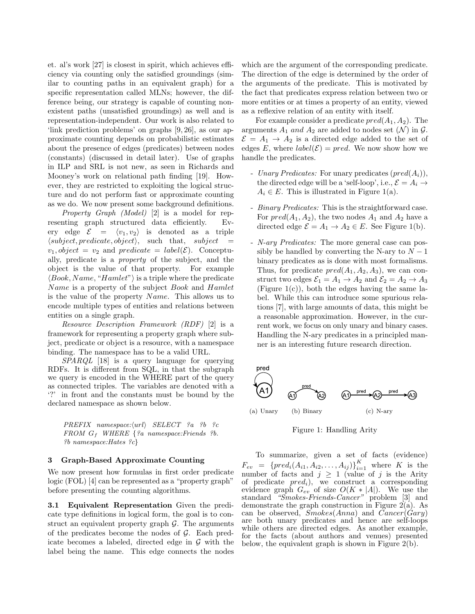et. al's work [27] is closest in spirit, which achieves efficiency via counting only the satisfied groundings (similar to counting paths in an equivalent graph) for a specific representation called MLNs; however, the difference being, our strategy is capable of counting nonexistent paths (unsatisfied groundings) as well and is representation-independent. Our work is also related to 'link prediction problems' on graphs [9, 26], as our approximate counting depends on probabilistic estimates about the presence of edges (predicates) between nodes (constants) (discussed in detail later). Use of graphs in ILP and SRL is not new, as seen in Richards and Mooney's work on relational path finding [19]. However, they are restricted to exploiting the logical structure and do not perform fast or approximate counting as we do. We now present some background definitions.

Property Graph (Model) [2] is a model for representing graph structured data efficiently. Every edge  $\mathcal{E} = \langle v_1, v_2 \rangle$  is denoted as a triple  $\langle subject, predicate, object \rangle, \text{ such that, } subject =$  $v_1, object = v_2$  and predicate = label( $\mathcal{E}$ ). Conceptually, predicate is a property of the subject, and the object is the value of that property. For example  $\langle Book, Name, "Hamlet" \rangle$  is a triple where the predicate Name is a property of the subject Book and Hamlet is the value of the property  $Name$ . This allows us to encode multiple types of entities and relations between entities on a single graph.

Resource Description Framework (RDF) [2] is a framework for representing a property graph where subject, predicate or object is a resource, with a namespace binding. The namespace has to be a valid URL.

SPARQL [18] is a query language for querying RDFs. It is different from SQL, in that the subgraph we query is encoded in the WHERE part of the query as connected triples. The variables are denoted with a '?' in front and the constants must be bound by the declared namespace as shown below.

 $PREFIX$  namespace: $\langle url \rangle$  SELECT ?a ?b ?c  $FROM$   $G_f$  WHERE  $\{ a$  namespace: Friends ?b. ?b namespace:Hates ?c}

## 3 Graph-Based Approximate Counting

We now present how formulas in first order predicate logic (FOL) [4] can be represented as a "property graph" before presenting the counting algorithms.

3.1 Equivalent Representation Given the predicate type definitions in logical form, the goal is to construct an equivalent property graph  $\mathcal{G}$ . The arguments of the predicates become the nodes of  $G$ . Each predicate becomes a labeled, directed edge in  $\mathcal G$  with the label being the name. This edge connects the nodes

which are the argument of the corresponding predicate. The direction of the edge is determined by the order of the arguments of the predicate. This is motivated by the fact that predicates express relation between two or more entities or at times a property of an entity, viewed as a reflexive relation of an entity with itself.

For example consider a predicate  $pred(A_1, A_2)$ . The arguments  $A_1$  and  $A_2$  are added to nodes set  $(\mathcal{N})$  in  $\mathcal{G}$ .  $\mathcal{E} = A_1 \rightarrow A_2$  is a directed edge added to the set of edges E, where  $label(\mathcal{E}) = pred$ . We now show how we handle the predicates.

- Unary Predicates: For unary predicates  $(pred(A_i)),$ the directed edge will be a 'self-loop', i.e.,  $\mathcal{E} = A_i \rightarrow$  $A_i \in E$ . This is illustrated in Figure 1(a).
- Binary Predicates: This is the straightforward case. For  $pred(A_1, A_2)$ , the two nodes  $A_1$  and  $A_2$  have a directed edge  $\mathcal{E} = A_1 \rightarrow A_2 \in E$ . See Figure 1(b).
- N-ary Predicates: The more general case can possibly be handled by converting the N-ary to  $N-1$ binary predicates as is done with most formalisms. Thus, for predicate  $pred(A_1, A_2, A_3)$ , we can construct two edges  $\mathcal{E}_1 = A_1 \rightarrow A_2$  and  $\mathcal{E}_2 = A_2 \rightarrow A_3$ (Figure  $1(c)$ ), both the edges having the same label. While this can introduce some spurious relations [7], with large amounts of data, this might be a reasonable approximation. However, in the current work, we focus on only unary and binary cases. Handling the N-ary predicates in a principled manner is an interesting future research direction.



Figure 1: Handling Arity

To summarize, given a set of facts (evidence)  $F_{ev} = \{ pred_i(A_{i1}, A_{i2},..., A_{ij}) \}_{i=1}^{K}$  where K is the number of facts and  $j \geq 1$  (value of j is the Arity of predicate  $pred_i$ ), we construct a corresponding evidence graph  $G_{ev}$  of size  $O(K * |A|)$ . We use the standard "Smokes-Friends-Cancer" problem [3] and demonstrate the graph construction in Figure 2(a). As can be observed,  $Smokes(Anna)$  and  $Cancer(Gary)$ are both unary predicates and hence are self-loops while others are directed edges. As another example, for the facts (about authors and venues) presented below, the equivalent graph is shown in Figure 2(b).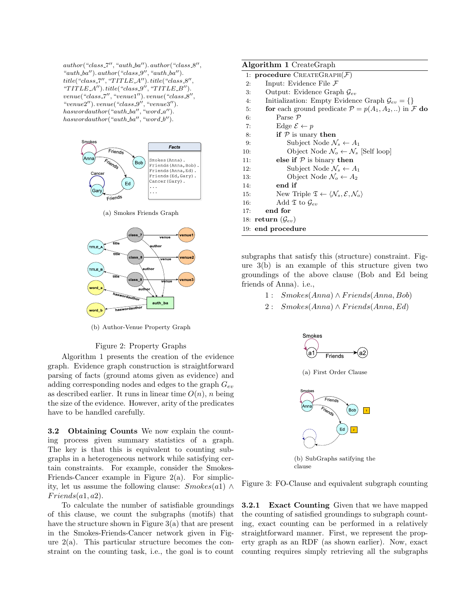$author("class.7", "auth_ba")$ .  $author("class.8",$ " $auth\_ba"$ ).  $author("class\_9", "auth\_ba")$ .  $title("class 7", "TITLE A"). title("class 8",$ " $TITLE.A'$ "). title("class\_9", " $TITLE.B'$ "). venue("class\_7", "venue1"). venue("class\_8",  $"venue2'')$ .  $venue("class_9", "venue3'')$ .  $has word author("auth_bla", "word_a'').$  $has word author("auth_bla", "word_b'').$ 



(a) Smokes Friends Graph



(b) Author-Venue Property Graph

#### Figure 2: Property Graphs

Algorithm 1 presents the creation of the evidence graph. Evidence graph construction is straightforward parsing of facts (ground atoms given as evidence) and adding corresponding nodes and edges to the graph  $G_{ev}$ as described earlier. It runs in linear time  $O(n)$ , n being the size of the evidence. However, arity of the predicates have to be handled carefully.

3.2 Obtaining Counts We now explain the counting process given summary statistics of a graph. The key is that this is equivalent to counting subgraphs in a heterogeneous network while satisfying certain constraints. For example, consider the Smokes-Friends-Cancer example in Figure 2(a). For simplicity, let us assume the following clause:  $Smokes(a1) \wedge$  $Friends(a1, a2).$ 

To calculate the number of satisfiable groundings of this clause, we count the subgraphs (motifs) that have the structure shown in Figure 3(a) that are present in the Smokes-Friends-Cancer network given in Figure  $2(a)$ . This particular structure becomes the constraint on the counting task, i.e., the goal is to count

| <b>Algorithm 1</b> CreateGraph                                                                        |
|-------------------------------------------------------------------------------------------------------|
| 1: procedure $\text{CREATEGRAPH}(\mathcal{F})$                                                        |
| Input: Evidence File $\mathcal F$<br>2:                                                               |
| Output: Evidence Graph $\mathcal{G}_{ev}$<br>3:                                                       |
| Initialization: Empty Evidence Graph $\mathcal{G}_{ev} = \{\}\$<br>4:                                 |
| for each ground predicate $\mathcal{P} = p(A_1, A_2, )$ in F do<br>5:                                 |
| Parse $\mathcal{P}$<br>6:                                                                             |
| Edge $\mathcal{E} \leftarrow p$<br>7:                                                                 |
| if $P$ is unary then<br>8:                                                                            |
| Subject Node $\mathcal{N}_s \leftarrow A_1$<br>9:                                                     |
| Object Node $\mathcal{N}_o \leftarrow \mathcal{N}_s$ [Self loop]<br>10:                               |
| else if $P$ is binary then<br>11:                                                                     |
| Subject Node $\mathcal{N}_s \leftarrow A_1$<br>12:                                                    |
| Object Node $\mathcal{N}_o \leftarrow A_2$<br>13:                                                     |
| end if<br>14:                                                                                         |
| New Triple $\mathfrak{T} \leftarrow \langle \mathcal{N}_s, \mathcal{E}, \mathcal{N}_o \rangle$<br>15: |
| Add $\mathfrak T$ to $\mathcal G_{ev}$<br>16:                                                         |
| end for<br>17:                                                                                        |
| 18: return $(\mathcal{G}_{ev})$                                                                       |
| 19: end procedure                                                                                     |

subgraphs that satisfy this (structure) constraint. Figure 3(b) is an example of this structure given two groundings of the above clause (Bob and Ed being friends of Anna). i.e.,

- 1 : Smokes(Anna) ∧ F riends(Anna, Bob)
- 2 :  $Smokes(Anna) \wedge Friends( Anna, Ed)$



clause

Figure 3: FO-Clause and equivalent subgraph counting

3.2.1 Exact Counting Given that we have mapped the counting of satisfied groundings to subgraph counting, exact counting can be performed in a relatively straightforward manner. First, we represent the property graph as an RDF (as shown earlier). Now, exact counting requires simply retrieving all the subgraphs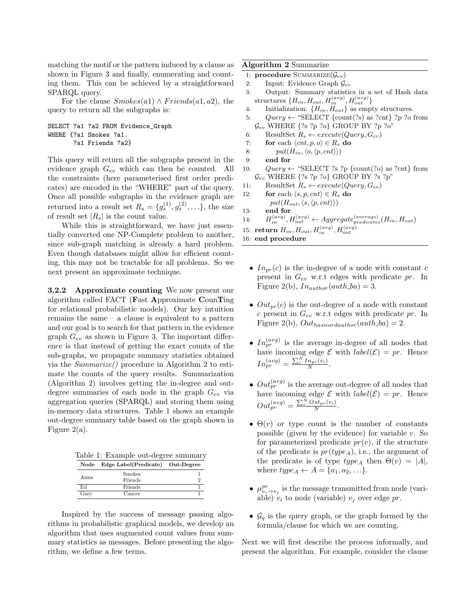matching the motif or the pattern induced by a clause as shown in Figure 3 and finally, enumerating and counting them. This can be achieved by a straightforward SPARQL query.

For the clause  $Smokes(a1) \wedge Friends(a1, a2)$ , the query to return all the subgraphs is:

```
SELECT ?a1 ?a2 FROM Evidence_Graph
WHERE {?a1 Smokes ?a1.
       ?a1 Friends ?a2}
```
This query will return all the subgraphs present in the evidence graph  $G_{ev}$  which can then be counted. All the constraints (here parameterised first order predicates) are encoded in the "WHERE" part of the query. Once all possible subgraphs in the evidence graph are returned into a result set  $R_s = \{g_s^{(1)}, g_s^{(2)}, \ldots\}$ , the size of result set  $|R_s|$  is the count value.

While this is straightforward, we have just essentially converted one NP-Complete problem to another, since sub-graph matching is already a hard problem. Even though databases might allow for efficient counting, this may not be tractable for all problems. So we next present an approximate technique.

3.2.2 Approximate counting We now present our algorithm called FACT (Fast Approximate CounTing for relational probabilistic models). Our key intuition remains the same – a clause is equivalent to a pattern and our goal is to search for that pattern in the evidence graph  $G_{ev}$  as shown in Figure 3. The important difference is that instead of getting the exact counts of the sub-graphs, we propagate summary statistics obtained via the Summarize() procedure in Algorithm 2 to estimate the counts of the query results. Summarization (Algorithm 2) involves getting the in-degree and outdegree summaries of each node in the graph  $G_{ev}$  via aggregation queries (SPARQL) and storing them using in-memory data structures. Table 1 shows an example out-degree summary table based on the graph shown in Figure 2(a).

Table 1: Example out-degree summary

| Node  | Edge Label(Predicate) Out-Degree |   |
|-------|----------------------------------|---|
| Anna. | Smokes                           |   |
|       | Friends                          | 9 |
| Ed    | Friends                          |   |
| Gary  | Cancer                           |   |

Inspired by the success of message passing algorithms in probabilistic graphical models, we develop an algorithm that uses augmented count values from summary statistics as messages. Before presenting the algorithm, we define a few terms.

## Algorithm 2 Summarize

- 1: **procedure** SUMMARIZE $(\mathcal{G}_{ev})$
- 2: Input: Evidence Graph  $\mathcal{G}_{ev}$
- 3: Output: Summary statistics in a set of Hash data  $\text{structures }\{H_{in},H_{out},H_{in}^{(avg)},H_{out}^{(avg)}\}$
- 4: Initialization:  ${H_{in}, H_{out}}$  as empty structures.
- 5:  $Query \leftarrow "SELECT {count(?s) as ?cnt} ?p ?o from$  $\mathcal{G}_{ev}$  WHERE  $\{?s ?p ?o\}$  GROUP BY  $?p ?o"$
- 6: ResultSet  $R_s \leftarrow execute(Query, G_{ev})$
- 7: for each  $\langle ent, p, o \rangle \in R_s$  do
- 8:  $put(H_{in}, \langle o, \langle p, cnt \rangle))$
- 9: end for
- 10:  $Query \leftarrow "SELECT ?s ?p {count}(?o) as ?cnt} from$  $\mathcal{G}_{ev}$  WHERE  $\{?s ?p ?o\}$  GROUP BY ?s ?p"
- 11: ResultSet  $R_s \leftarrow execute(Query, G_{ev})$
- 12: for each  $\langle s, p, cnt \rangle \in R_s$  do  $put(H_{out},\langle s,\langle p,cnt\rangle))$
- 13: end for
- 14:  $H_{in}^{(avg)}, H_{out}^{(avg)} \leftarrow Aggregate_{predicates}^{(average)}(H_{in}, H_{out})$
- 15: return  $H_{in}$ ,  $H_{out}$ ,  $H_{in}^{(avg)}$ ,  $H_{out}^{(avg)}$
- 16: end procedure
	- $In_{pr}(c)$  is the in-degree of a node with constant c present in  $G_{ev}$  w.r.t edges with predicate pr. In Figure 2(b),  $In_{author}(auth\_ba) = 3.$
	- $Out_{nr}(c)$  is the out-degree of a node with constant c present in  $G_{ev}$  w.r.t edges with predicate pr. In Figure 2(b),  $Out_{haswordauthor}(auth\_ba) = 2$ .
	- $In_{pr}^{(avg)}$  is the average in-degree of all nodes that have incoming edge  $\mathcal E$  with  $label(\mathcal E)=pr$ . Hence  $In_{pr}^{(avg)} = \frac{\sum_{i}^{N} In_{pr}(v_i)}{N}$  $\frac{n_{pr}(v_i)}{N}$ .
	- $Out_{pr}^{(avg)}$  is the average out-degree of all nodes that have incoming edge  $\mathcal E$  with  $label(\mathcal E)=pr$ . Hence  $Out_{pr}^{(avg)} = \frac{\sum_{i}^{N}Out_{pr}(v_i)}{N}.$
	- $\Theta(v)$  or type count is the number of constants possible (given by the evidence) for variable  $v$ . So for parameterized predicate  $pr(v)$ , if the structure of the predicate is  $pr(type_A)$ , i.e., the argument of the predicate is of type  $type_A$  then  $\Theta(v) = |A|$ , where  $type_A \leftarrow A = \{a_1, a_2, \ldots\}.$
	- $\mu_{v_i \to v_j}^{pr}$  is the message transmitted from node (variable)  $v_i$  to node (variable)  $v_j$  over edge pr.
	- $\mathcal{G}_q$  is the query graph, or the graph formed by the formula/clause for which we are counting.

Next we will first describe the process informally, and present the algorithm. For example, consider the clause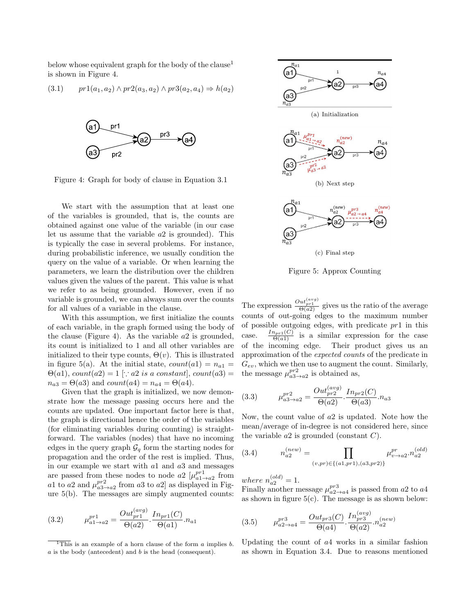below whose equivalent graph for the body of the clause<sup>1</sup> is shown in Figure 4.

$$
(3.1) \t pr1(a_1, a_2) \wedge pr2(a_3, a_2) \wedge pr3(a_2, a_4) \Rightarrow h(a_2)
$$



Figure 4: Graph for body of clause in Equation 3.1

We start with the assumption that at least one of the variables is grounded, that is, the counts are obtained against one value of the variable (in our case let us assume that the variable a2 is grounded). This is typically the case in several problems. For instance, during probabilistic inference, we usually condition the query on the value of a variable. Or when learning the parameters, we learn the distribution over the children values given the values of the parent. This value is what we refer to as being grounded. However, even if no variable is grounded, we can always sum over the counts for all values of a variable in the clause.

With this assumption, we first initialize the counts of each variable, in the graph formed using the body of the clause (Figure 4). As the variable  $a2$  is grounded, its count is initialized to 1 and all other variables are initialized to their type counts,  $\Theta(v)$ . This is illustrated in figure 5(a). At the initial state,  $count(a1) = n_{a1}$  $\Theta(a1)$ ,  $count(a2) = 1$  [ $\therefore a2$  is a constant], count(a3) =  $n_{a3} = \Theta(a3)$  and  $count(a4) = n_{a4} = \Theta(a4)$ .

Given that the graph is initialized, we now demonstrate how the message passing occurs here and the counts are updated. One important factor here is that, the graph is directional hence the order of the variables (for eliminating variables during counting) is straightforward. The variables (nodes) that have no incoming edges in the query graph  $\mathcal{G}_q$  form the starting nodes for propagation and the order of the rest is implied. Thus, in our example we start with a1 and a3 and messages are passed from these nodes to node  $a2 \left[ \mu_{a1\rightarrow a2}^{pr1} \right]$  from a1 to a2 and  $\mu_{a3\rightarrow a2}^{pr2}$  from a3 to a2] as displayed in Figure 5(b). The messages are simply augmented counts:

(3.2) 
$$
\mu_{a1 \to a2}^{pr1} = \frac{Out_{pr1}^{(avg)}}{\Theta(a2)} \cdot \frac{In_{pr1}(C)}{\Theta(a1)} \cdot n_{a1}
$$



Figure 5: Approx Counting

The expression  $\frac{Out_{p+1}^{(avg)}}{\Theta(a^2)}$  gives us the ratio of the average counts of out-going edges to the maximum number of possible outgoing edges, with predicate  $pr1$  in this case.  $\frac{I_{n_{pr1}(C)}}{\Theta(a_1)}$  is a similar expression for the case of the incoming edge. Their product gives us an approximation of the expected counts of the predicate in  $G_{ev}$ , which we then use to augment the count. Similarly, the message  $\mu_{a3\rightarrow a2}^{pr2}$  is obtained as,

(3.3) 
$$
\mu_{a3 \to a2}^{pr2} = \frac{Out_{pr2}^{(avg)}}{\Theta(a2)} \cdot \frac{In_{pr2}(C)}{\Theta(a3)} \cdot n_{a3}
$$

Now, the count value of a2 is updated. Note how the mean/average of in-degree is not considered here, since the variable  $a2$  is grounded (constant  $C$ ).

(3.4) 
$$
n_{a2}^{(new)} = \prod_{(v, pr) \in \{(a1, pr1), (a3, pr2)\}} \mu_{v \to a2}^{pr} \cdot n_{a2}^{(old)}
$$

where  $n_{a2}^{(old)} = 1$ .

Finally another message  $\mu_{a2\rightarrow a4}^{pr3}$  is passed from a2 to a4 as shown in figure  $5(c)$ . The message is as shown below:

(3.5) 
$$
\mu_{a2 \to a4}^{pr3} = \frac{Out_{pr3}(C)}{\Theta(a4)} \cdot \frac{In_{pr3}^{(avg)}}{\Theta(a2)} \cdot n_{a2}^{(new)}
$$

Updating the count of a4 works in a similar fashion as shown in Equation 3.4. Due to reasons mentioned

 $\overline{1}$ This is an example of a horn clause of the form a implies b. a is the body (antecedent) and b is the head (consequent).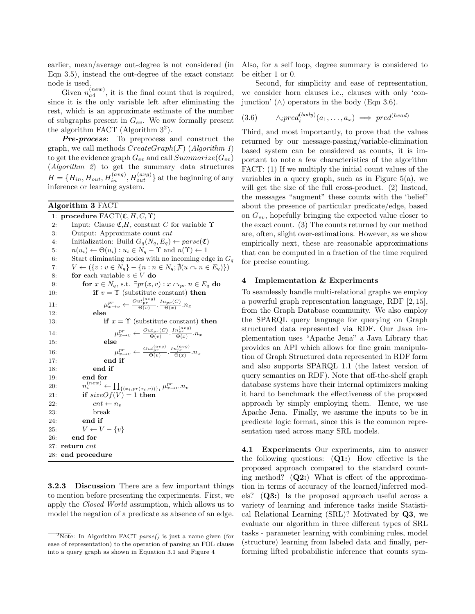earlier, mean/average out-degree is not considered (in Eqn 3.5), instead the out-degree of the exact constant node is used.

Given  $n_{a4}^{(new)}$ , it is the final count that is required, since it is the only variable left after eliminating the rest, which is an approximate estimate of the number of subgraphs present in  $G_{ev}$ . We now formally present the algorithm FACT (Algorithm  $3^2$ ).

Pre-process: To preprocess and construct the graph, we call methods  $CreateGraph(\mathcal{F})$  (Algorithm 1) to get the evidence graph  $G_{ev}$  and call  $Summarize(G_{ev})$ (Algorithm 2) to get the summary data structures  $H = \{H_{in}, H_{out}, H_{in}^{(avg)}, H_{out}^{(avg)}\}$  at the beginning of any inference or learning system.

## Algorithm 3 FACT

1: procedure  $FACT(\mathfrak{C}, H, C, \Upsilon)$ 2: Input: Clause  $\mathfrak{C}, H$ , constant C for variable  $\Upsilon$ 3: Output: Approximate count cnt 4: Initialization: Build  $G_q(N_q, E_q) \leftarrow parse(\mathfrak{C})$ 5:  $n(u_i) \leftarrow \Theta(u_i) : u_i \in N_q - \Upsilon \text{ and } n(\Upsilon) \leftarrow 1$ 6: Start eliminating nodes with no incoming edge in  $G_q$ 7:  $V \leftarrow (\{v : v \in N_q\} - \{n : n \in N_q; \nexists (u \cap n \in E_q)\})$ 8: **for** each variable  $v \in V$  **do** 9: for  $x \in N_q$ , s.t.  $\exists pr(x,v) : x \cap_{pr} n \in E_q$  do 10: **if**  $v = \Upsilon$  (substitute constant) **then**  $11:$  $p_{x \to v} \leftarrow \frac{Out_{pr}^{(avg)}}{\Theta(v)} \cdot \frac{In_{pr}(C)}{\Theta(x)} \cdot n_x$ 12: else 13: **if**  $x = \Upsilon$  (substitute constant) **then** 14:  $\mu$  $p_r^r \leftarrow \frac{Out_{pr}(C)}{\Theta(v)} \cdot \frac{In_{pr}^{(avg)}}{\Theta(x)} \cdot n_x$ 15: else 16: µ  $p_r^r \leftarrow \frac{Out_{pr}^{(avg)}}{\Theta(v)} \cdot \frac{In_{pr}^{(avg)}}{\Theta(x)} \cdot n_x$ 17: end if 18: end if 19: end for 20:  $\mathcal{C}_v^{(new)} \leftarrow \prod_{\{(x_i, pr(x_i, v))\}_i} \mu_{x \to v}^{pr}.n_v$ 21: if  $sizeOf(V) = 1$  then 22:  $cnt \leftarrow n_v$ 23: break 24: end if 25:  $V \leftarrow V - \{v\}$ 26: end for 27: return cnt 28: end procedure

3.2.3 Discussion There are a few important things to mention before presenting the experiments. First, we apply the Closed World assumption, which allows us to model the negation of a predicate as absence of an edge.

Also, for a self loop, degree summary is considered to be either 1 or 0.

Second, for simplicity and ease of representation, we consider horn clauses i.e., clauses with only 'conjunction'  $(\wedge)$  operators in the body (Eqn 3.6).

$$
(3.6) \qquad \wedge_i pred_i^{(body)}(a_1,\ldots,a_x) \implies pred^{(head)}
$$

Third, and most importantly, to prove that the values returned by our message-passing/variable-elimination based system can be considered as counts, it is important to note a few characteristics of the algorithm FACT: (1) If we multiply the initial count values of the variables in a query graph, such as in Figure  $5(a)$ , we will get the size of the full cross-product. (2) Instead, the messages "augment" these counts with the 'belief' about the presence of particular predicate/edge, based on  $G_{ev}$ , hopefully bringing the expected value closer to the exact count. (3) The counts returned by our method are, often, slight over-estimations. However, as we show empirically next, these are reasonable approximations that can be computed in a fraction of the time required for precise counting.

## 4 Implementation & Experiments

To seamlessly handle multi-relational graphs we employ a powerful graph representation language, RDF [2, 15], from the Graph Database community. We also employ the SPARQL query language for querying on Graph structured data represented via RDF. Our Java implementation uses "Apache Jena" a Java Library that provides an API which allows for fine grain manipulation of Graph Structured data represented in RDF form and also supports SPARQL 1.1 (the latest version of query semantics on RDF). Note that off-the-shelf graph database systems have their internal optimizers making it hard to benchmark the effectiveness of the proposed approach by simply employing them. Hence, we use Apache Jena. Finally, we assume the inputs to be in predicate logic format, since this is the common representation used across many SRL models.

4.1 Experiments Our experiments, aim to answer the following questions:  $(Q1)$ : How effective is the proposed approach compared to the standard counting method?  $(Q2:)$  What is effect of the approximation in terms of accuracy of the learned/inferred models? (Q3:) Is the proposed approach useful across a variety of learning and inference tasks inside Statistical Relational Learning (SRL)? Motivated by Q3, we evaluate our algorithm in three different types of SRL tasks - parameter learning with combining rules, model (structure) learning from labeled data and finally, performing lifted probabilistic inference that counts sym-

 $\sqrt[2]{2N}$  Tote: In Algorithm FACT parse() is just a name given (for ease of representation) to the operation of parsing an FOL clause into a query graph as shown in Equation 3.1 and Figure 4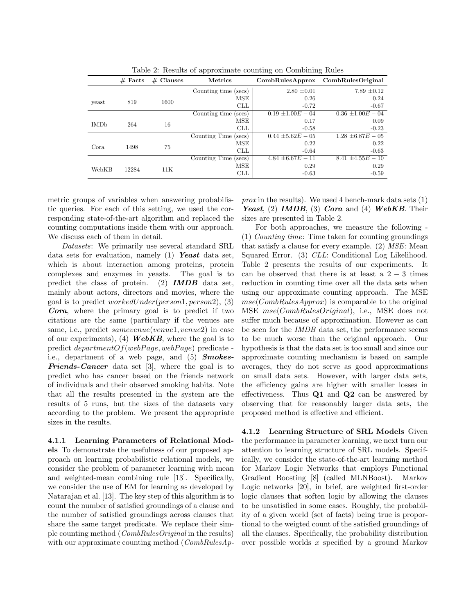|                                | $#$ Facts | $#$ Clauses | <b>Metrics</b>       | CombRulesApprox       | CombRulesOriginal     |
|--------------------------------|-----------|-------------|----------------------|-----------------------|-----------------------|
|                                |           |             | Counting time (secs) | $2.80 \pm 0.01$       | $7.89 \pm 0.12$       |
|                                | 819       | 1600        | MSE                  | 0.26                  | 0.24                  |
| yeast                          |           |             | <b>CLL</b>           | $-0.72$               | $-0.67$               |
|                                |           |             | Counting time (secs) | $0.19 \pm 1.00E - 04$ | $0.36 \pm 1.00E - 04$ |
| <b>IMD</b> <sub>b</sub><br>264 |           | 16          | MSE                  | 0.17                  | 0.09                  |
|                                |           |             | <b>CLL</b>           | $-0.58$               | $-0.23$               |
|                                |           |             | Counting Time (secs) | $0.44 \pm 5.62E - 05$ | $1.28 \pm 6.87E - 05$ |
| Cora                           | 1498      | 75          | MSE                  | 0.22                  | 0.22                  |
|                                |           |             | <b>CLL</b>           | $-0.64$               | $-0.63$               |
|                                |           |             | Counting Time (secs) | $4.84 \pm 6.67E - 11$ | $8.41 \pm 4.55E - 10$ |
| WebKB                          | 12284     | 11K         | MSE                  | 0.29                  | 0.29                  |
|                                |           |             | CLL                  | $-0.63$               | $-0.59$               |

Table 2: Results of approximate counting on Combining Rules

metric groups of variables when answering probabilistic queries. For each of this setting, we used the corresponding state-of-the-art algorithm and replaced the counting computations inside them with our approach. We discuss each of them in detail.

Datasets: We primarily use several standard SRL data sets for evaluation, namely  $(1)$  Yeast data set, which is about interaction among proteins, protein complexes and enzymes in yeasts. The goal is to predict the class of protein. (2) **IMDB** data set, mainly about actors, directors and movies, where the goal is to predict  $workedUnder(person1, person2), (3)$ Cora, where the primary goal is to predict if two citations are the same (particulary if the venues are same, i.e., predict samevenue(venue1, venue2) in case of our experiments), (4) **WebKB**, where the goal is to predict  $departmentOf(webPage,webPage)$  predicate i.e., department of a web page, and (5) **Smokes-**Friends-Cancer data set [3], where the goal is to predict who has cancer based on the friends network of individuals and their observed smoking habits. Note that all the results presented in the system are the results of 5 runs, but the sizes of the datasets vary according to the problem. We present the appropriate sizes in the results.

4.1.1 Learning Parameters of Relational Models To demonstrate the usefulness of our proposed approach on learning probabilistic relational models, we consider the problem of parameter learning with mean and weighted-mean combining rule [13]. Specifically, we consider the use of EM for learning as developed by Natarajan et al. [13]. The key step of this algorithm is to count the number of satisfied groundings of a clause and the number of satisfied groundings across clauses that share the same target predicate. We replace their simple counting method (CombRulesOriginal in the results) with our approximate counting method ( $CombRulesAp-$  prox in the results). We used 4 bench-mark data sets  $(1)$ Yeast, (2) IMDB, (3) Cora and (4) WebKB. Their sizes are presented in Table 2.

For both approaches, we measure the following - (1) Counting time: Time taken for counting groundings that satisfy a clause for every example. (2)  $MSE:$  Mean Squared Error. (3) CLL: Conditional Log Likelihood. Table 2 presents the results of our experiments. It can be observed that there is at least a  $2 - 3$  times reduction in counting time over all the data sets when using our approximate counting approach. The MSE  $mse(CombRulesApprox)$  is comparable to the original MSE mse(CombRulesOriginal), i.e., MSE does not suffer much because of approximation. However as can be seen for the IMDB data set, the performance seems to be much worse than the original approach. Our hypothesis is that the data set is too small and since our approximate counting mechanism is based on sample averages, they do not serve as good approximations on small data sets. However, with larger data sets, the efficiency gains are higher with smaller losses in effectiveness. Thus  $Q1$  and  $Q2$  can be answered by observing that for reasonably larger data sets, the proposed method is effective and efficient.

4.1.2 Learning Structure of SRL Models Given the performance in parameter learning, we next turn our attention to learning structure of SRL models. Specifically, we consider the state-of-the-art learning method for Markov Logic Networks that employs Functional Gradient Boosting [8] (called MLNBoost). Markov Logic networks [20], in brief, are weighted first-order logic clauses that soften logic by allowing the clauses to be unsatisfied in some cases. Roughly, the probability of a given world (set of facts) being true is proportional to the weigted count of the satisfied groundings of all the clauses. Specifically, the probability distribution over possible worlds x specified by a ground Markov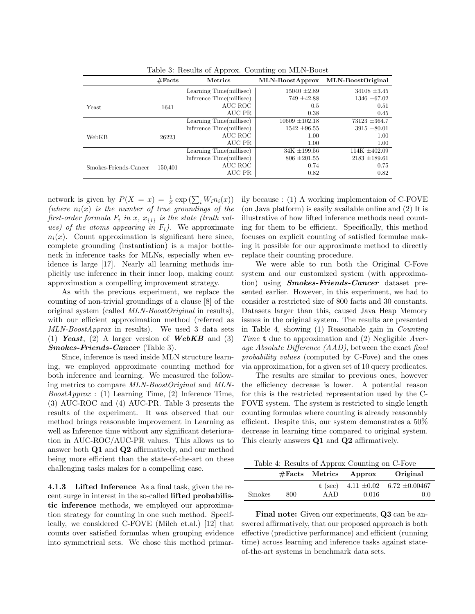|                       | #Facts  | Metrics                  | MLN-BoostApprox    | MLN-BoostOriginal |
|-----------------------|---------|--------------------------|--------------------|-------------------|
|                       |         | Learning Time(millisec)  | $15040 \pm 2.89$   | $34108 \pm 3.45$  |
|                       |         | Inference Time(millisec) | $749 \pm 42.88$    | $1346 \pm 67.02$  |
| Yeast                 | 1641    | AUC ROC                  | 0.5                | 0.51              |
|                       |         | AUC PR                   | 0.38               | 0.45              |
|                       |         | Learning Time(millisec)  | $10609 \pm 102.18$ | $73123 \pm 364.7$ |
|                       |         | Inference Time(millisec) | $1542 \pm 96.55$   | $3915 \pm 80.01$  |
| WebKB                 | 26223   | AUC ROC                  | 1.00               | 1.00              |
|                       |         | AUC PR                   | 1.00               | 1.00              |
|                       |         | Learning Time(millisec)  | $34K + 199.56$     | $114K \pm 402.09$ |
|                       |         | Inference Time(millisec) | $806 \pm 201.55$   | $2183 \pm 189.61$ |
| Smokes-Friends-Cancer | 150,401 | AUC ROC                  | 0.74               | 0.75              |
|                       |         | AUC PR                   | 0.82               | 0.82              |

Table 3: Results of Approx. Counting on MLN-Boost

network is given by  $P(X = x) = \frac{1}{Z} \exp\left(\sum_i W_i n_i(x)\right)$ (where  $n_i(x)$  is the number of true groundings of the first-order formula  $F_i$  in x,  $x_{\{i\}}$  is the state (truth values) of the atoms appearing in  $F_i$ ). We approximate  $n_i(x)$ . Count approximation is significant here since, complete grounding (instantiation) is a major bottleneck in inference tasks for MLNs, especially when evidence is large [17]. Nearly all learning methods implicitly use inference in their inner loop, making count approximation a compelling improvement strategy.

As with the previous experiment, we replace the counting of non-trivial groundings of a clause [8] of the original system (called MLN-BoostOriginal in results), with our efficient approximation method (referred as MLN-BoostApprox in results). We used 3 data sets (1) Yeast, (2) A larger version of  $\mathbf{WebKB}$  and (3) Smokes-Friends-Cancer (Table 3).

Since, inference is used inside MLN structure learning, we employed approximate counting method for both inference and learning. We measured the following metrics to compare MLN-BoostOriginal and MLN- $BoostApprox: (1)$  Learning Time, (2) Inference Time, (3) AUC-ROC and (4) AUC-PR. Table 3 presents the results of the experiment. It was observed that our method brings reasonable improvement in Learning as well as Inference time without any significant deterioration in AUC-ROC/AUC-PR values. This allows us to answer both Q1 and Q2 affirmatively, and our method being more efficient than the state-of-the-art on these challenging tasks makes for a compelling case.

4.1.3 Lifted Inference As a final task, given the recent surge in interest in the so-called lifted probabilistic inference methods, we employed our approximation strategy for counting in one such method. Specifically, we considered C-FOVE (Milch et.al.) [12] that counts over satisfied formulas when grouping evidence into symmetrical sets. We chose this method primarily because : (1) A working implementaion of C-FOVE (on Java platform) is easily available online and (2) It is illustrative of how lifted inference methods need counting for them to be efficient. Specifically, this method focuses on explicit counting of satisfied formulae making it possible for our approximate method to directly replace their counting procedure.

We were able to run both the Original C-Fove system and our customized system (with approximation) using **Smokes-Friends-Cancer** dataset presented earlier. However, in this experiment, we had to consider a restricted size of 800 facts and 30 constants. Datasets larger than this, caused Java Heap Memory issues in the original system. The results are presented in Table 4, showing (1) Reasonable gain in Counting Time **t** due to approximation and  $(2)$  Negligible Average Absolute Difference (AAD), between the exact final probability values (computed by C-Fove) and the ones via approximation, for a given set of 10 query predicates.

The results are similar to previous ones, however the efficiency decrease is lower. A potential reason for this is the restricted representation used by the C-FOVE system. The system is restricted to single length counting formulas where counting is already reasonably efficient. Despite this, our system demonstrates a 50% decrease in learning time compared to original system. This clearly answers Q1 and Q2 affirmatively.

Table 4: Results of Approx Counting on C-Fove

|               |     |     | $#Facts$ Metrics Approx | Original                                              |
|---------------|-----|-----|-------------------------|-------------------------------------------------------|
| <b>Smokes</b> | 800 | AAD | 0.016                   | t (sec)   4.11 $\pm 0.02$ 6.72 $\pm 0.00467$<br>(0.0) |

Final note: Given our experiments, Q3 can be answered affirmatively, that our proposed approach is both effective (predictive performance) and efficient (running time) across learning and inference tasks against stateof-the-art systems in benchmark data sets.